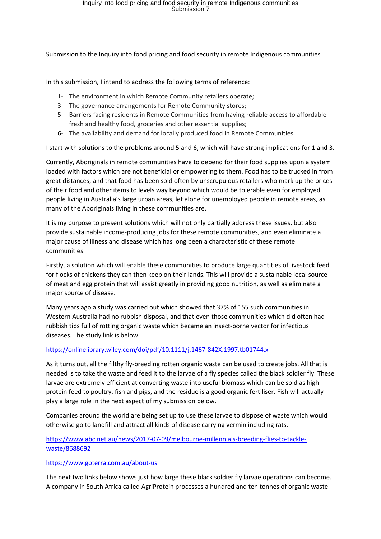Submission to the Inquiry into food pricing and food security in remote Indigenous communities

In this submission, I intend to address the following terms of reference:

- 1- The environment in which Remote Community retailers operate;
- 3- The governance arrangements for Remote Community stores;
- 5- Barriers facing residents in Remote Communities from having reliable access to affordable fresh and healthy food, groceries and other essential supplies;
- 6- The availability and demand for locally produced food in Remote Communities.

I start with solutions to the problems around 5 and 6, which will have strong implications for 1 and 3.

Currently, Aboriginals in remote communities have to depend for their food supplies upon a system loaded with factors which are not beneficial or empowering to them. Food has to be trucked in from great distances, and that food has been sold often by unscrupulous retailers who mark up the prices of their food and other items to levels way beyond which would be tolerable even for employed people living in Australia's large urban areas, let alone for unemployed people in remote areas, as many of the Aboriginals living in these communities are.

It is my purpose to present solutions which will not only partially address these issues, but also provide sustainable income-producing jobs for these remote communities, and even eliminate a major cause of illness and disease which has long been a characteristic of these remote communities.

Firstly, a solution which will enable these communities to produce large quantities of livestock feed for flocks of chickens they can then keep on their lands. This will provide a sustainable local source of meat and egg protein that will assist greatly in providing good nutrition, as well as eliminate a major source of disease.

Many years ago a study was carried out which showed that 37% of 155 such communities in Western Australia had no rubbish disposal, and that even those communities which did often had rubbish tips full of rotting organic waste which became an insect-borne vector for infectious diseases. The study link is below.

### <https://onlinelibrary.wiley.com/doi/pdf/10.1111/j.1467-842X.1997.tb01744.x>

As it turns out, all the filthy fly-breeding rotten organic waste can be used to create jobs. All that is needed is to take the waste and feed it to the larvae of a fly species called the black soldier fly. These larvae are extremely efficient at converting waste into useful biomass which can be sold as high protein feed to poultry, fish and pigs, and the residue is a good organic fertiliser. Fish will actually play a large role in the next aspect of my submission below.

Companies around the world are being set up to use these larvae to dispose of waste which would otherwise go to landfill and attract all kinds of disease carrying vermin including rats.

[https://www.abc.net.au/news/2017-07-09/melbourne-millennials-breeding-flies-to-tackle](https://www.abc.net.au/news/2017-07-09/melbourne-millennials-breeding-flies-to-tackle-waste/8688692)[waste/8688692](https://www.abc.net.au/news/2017-07-09/melbourne-millennials-breeding-flies-to-tackle-waste/8688692)

### <https://www.goterra.com.au/about-us>

The next two links below shows just how large these black soldier fly larvae operations can become. A company in South Africa called AgriProtein processes a hundred and ten tonnes of organic waste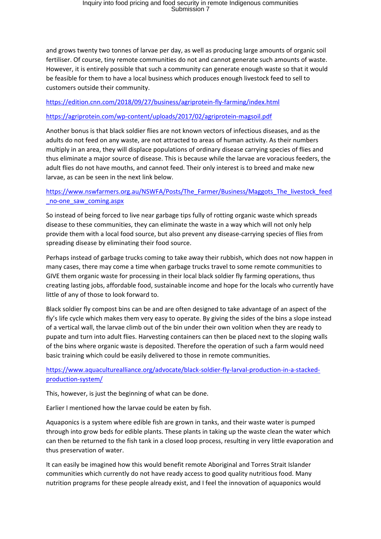and grows twenty two tonnes of larvae per day, as well as producing large amounts of organic soil fertiliser. Of course, tiny remote communities do not and cannot generate such amounts of waste. However, it is entirely possible that such a community can generate enough waste so that it would be feasible for them to have a local business which produces enough livestock feed to sell to customers outside their community.

## <https://edition.cnn.com/2018/09/27/business/agriprotein-fly-farming/index.html>

## <https://agriprotein.com/wp-content/uploads/2017/02/agriprotein-magsoil.pdf>

Another bonus is that black soldier flies are not known vectors of infectious diseases, and as the adults do not feed on any waste, are not attracted to areas of human activity. As their numbers multiply in an area, they will displace populations of ordinary disease carrying species of flies and thus eliminate a major source of disease. This is because while the larvae are voracious feeders, the adult flies do not have mouths, and cannot feed. Their only interest is to breed and make new larvae, as can be seen in the next link below.

# [https://www.nswfarmers.org.au/NSWFA/Posts/The\\_Farmer/Business/Maggots\\_The\\_livestock\\_feed](https://www.nswfarmers.org.au/NSWFA/Posts/The_Farmer/Business/Maggots_The_livestock_feed_no-one_saw_coming.aspx) [\\_no-one\\_saw\\_coming.aspx](https://www.nswfarmers.org.au/NSWFA/Posts/The_Farmer/Business/Maggots_The_livestock_feed_no-one_saw_coming.aspx)

So instead of being forced to live near garbage tips fully of rotting organic waste which spreads disease to these communities, they can eliminate the waste in a way which will not only help provide them with a local food source, but also prevent any disease-carrying species of flies from spreading disease by eliminating their food source.

Perhaps instead of garbage trucks coming to take away their rubbish, which does not now happen in many cases, there may come a time when garbage trucks travel to some remote communities to GIVE them organic waste for processing in their local black soldier fly farming operations, thus creating lasting jobs, affordable food, sustainable income and hope for the locals who currently have little of any of those to look forward to.

Black soldier fly compost bins can be and are often designed to take advantage of an aspect of the fly's life cycle which makes them very easy to operate. By giving the sides of the bins a slope instead of a vertical wall, the larvae climb out of the bin under their own volition when they are ready to pupate and turn into adult flies. Harvesting containers can then be placed next to the sloping walls of the bins where organic waste is deposited. Therefore the operation of such a farm would need basic training which could be easily delivered to those in remote communities.

[https://www.aquaculturealliance.org/advocate/black-soldier-fly-larval-production-in-a-stacked](https://www.aquaculturealliance.org/advocate/black-soldier-fly-larval-production-in-a-stacked-production-system/)[production-system/](https://www.aquaculturealliance.org/advocate/black-soldier-fly-larval-production-in-a-stacked-production-system/)

This, however, is just the beginning of what can be done.

Earlier I mentioned how the larvae could be eaten by fish.

Aquaponics is a system where edible fish are grown in tanks, and their waste water is pumped through into grow beds for edible plants. These plants in taking up the waste clean the water which can then be returned to the fish tank in a closed loop process, resulting in very little evaporation and thus preservation of water.

It can easily be imagined how this would benefit remote Aboriginal and Torres Strait Islander communities which currently do not have ready access to good quality nutritious food. Many nutrition programs for these people already exist, and I feel the innovation of aquaponics would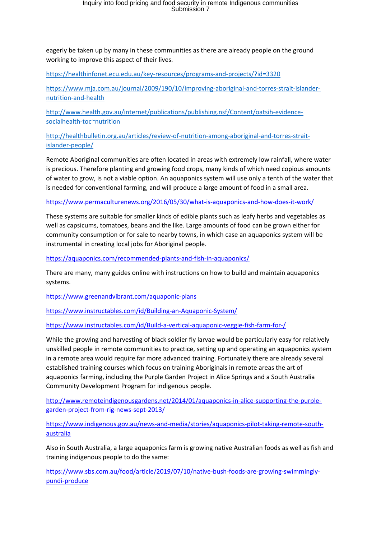eagerly be taken up by many in these communities as there are already people on the ground working to improve this aspect of their lives.

<https://healthinfonet.ecu.edu.au/key-resources/programs-and-projects/?id=3320>

[https://www.mja.com.au/journal/2009/190/10/improving-aboriginal-and-torres-strait-islander](https://www.mja.com.au/journal/2009/190/10/improving-aboriginal-and-torres-strait-islander-nutrition-and-health)[nutrition-and-health](https://www.mja.com.au/journal/2009/190/10/improving-aboriginal-and-torres-strait-islander-nutrition-and-health)

[http://www.health.gov.au/internet/publications/publishing.nsf/Content/oatsih-evidence](http://www.health.gov.au/internet/publications/publishing.nsf/Content/oatsih-evidence-socialhealth-toc~nutrition)[socialhealth-toc~nutrition](http://www.health.gov.au/internet/publications/publishing.nsf/Content/oatsih-evidence-socialhealth-toc~nutrition)

[http://healthbulletin.org.au/articles/review-of-nutrition-among-aboriginal-and-torres-strait](http://healthbulletin.org.au/articles/review-of-nutrition-among-aboriginal-and-torres-strait-islander-people/)[islander-people/](http://healthbulletin.org.au/articles/review-of-nutrition-among-aboriginal-and-torres-strait-islander-people/)

Remote Aboriginal communities are often located in areas with extremely low rainfall, where water is precious. Therefore planting and growing food crops, many kinds of which need copious amounts of water to grow, is not a viable option. An aquaponics system will use only a tenth of the water that is needed for conventional farming, and will produce a large amount of food in a small area.

<https://www.permaculturenews.org/2016/05/30/what-is-aquaponics-and-how-does-it-work/>

These systems are suitable for smaller kinds of edible plants such as leafy herbs and vegetables as well as capsicums, tomatoes, beans and the like. Large amounts of food can be grown either for community consumption or for sale to nearby towns, in which case an aquaponics system will be instrumental in creating local jobs for Aboriginal people.

<https://aquaponics.com/recommended-plants-and-fish-in-aquaponics/>

There are many, many guides online with instructions on how to build and maintain aquaponics systems.

<https://www.greenandvibrant.com/aquaponic-plans>

<https://www.instructables.com/id/Building-an-Aquaponic-System/>

<https://www.instructables.com/id/Build-a-vertical-aquaponic-veggie-fish-farm-for-/>

While the growing and harvesting of black soldier fly larvae would be particularly easy for relatively unskilled people in remote communities to practice, setting up and operating an aquaponics system in a remote area would require far more advanced training. Fortunately there are already several established training courses which focus on training Aboriginals in remote areas the art of aquaponics farming, including the Purple Garden Project in Alice Springs and a South Australia Community Development Program for indigenous people.

[http://www.remoteindigenousgardens.net/2014/01/aquaponics-in-alice-supporting-the-purple](http://www.remoteindigenousgardens.net/2014/01/aquaponics-in-alice-supporting-the-purple-garden-project-from-rig-news-sept-2013/)[garden-project-from-rig-news-sept-2013/](http://www.remoteindigenousgardens.net/2014/01/aquaponics-in-alice-supporting-the-purple-garden-project-from-rig-news-sept-2013/)

[https://www.indigenous.gov.au/news-and-media/stories/aquaponics-pilot-taking-remote-south](https://www.indigenous.gov.au/news-and-media/stories/aquaponics-pilot-taking-remote-south-australia)[australia](https://www.indigenous.gov.au/news-and-media/stories/aquaponics-pilot-taking-remote-south-australia)

Also in South Australia, a large aquaponics farm is growing native Australian foods as well as fish and training indigenous people to do the same:

[https://www.sbs.com.au/food/article/2019/07/10/native-bush-foods-are-growing-swimmingly](https://www.sbs.com.au/food/article/2019/07/10/native-bush-foods-are-growing-swimmingly-pundi-produce)[pundi-produce](https://www.sbs.com.au/food/article/2019/07/10/native-bush-foods-are-growing-swimmingly-pundi-produce)